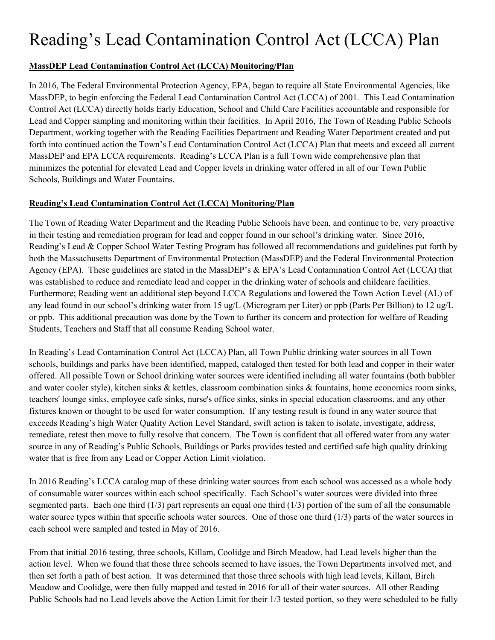# Reading's Lead Contamination Control Act (LCCA) Plan

## **MassDEP Lead Contamination Control Act (LCCA) Monitoring/Plan**

In 2016, The Federal Environmental Protection Agency, EPA, began to require all State Environmental Agencies, like MassDEP, to begin enforcing the Federal Lead Contamination Control Act (LCCA) of 2001. This Lead Contamination Control Act (LCCA) directly holds Early Education, School and Child Care Facilities accountable and responsible for Lead and Copper sampling and monitoring within their facilities. In April 2016, The Town of Reading Public Schools Department, working together with the Reading Facilities Department and Reading Water Department created and put forth into continued action the Town's Lead Contamination Control Act (LCCA) Plan that meets and exceed all current MassDEP and EPA LCCA requirements. Reading's LCCA Plan is a full Town wide comprehensive plan that minimizes the potential for elevated Lead and Copper levels in drinking water offered in all of our Town Public Schools, Buildings and Water Fountains.

## **Reading's Lead Contamination Control Act (LCCA) Monitoring/Plan**

The Town of Reading Water Department and the Reading Public Schools have been, and continue to be, very proactive in their testing and remediation program for lead and copper found in our school's drinking water. Since 2016, Reading's Lead & Copper School Water Testing Program has followed all recommendations and guidelines put forth by both the Massachusetts Department of Environmental Protection (MassDEP) and the Federal Environmental Protection Agency (EPA). These guidelines are stated in the MassDEP's & EPA's Lead Contamination Control Act (LCCA) that was established to reduce and remediate lead and copper in the drinking water of schools and childcare facilities. Furthermore; Reading went an additional step beyond LCCA Regulations and lowered the Town Action Level (AL) of any lead found in our school's drinking water from 15 ug/L (Microgram per Liter) or ppb (Parts Per Billion) to 12 ug/L or ppb. This additional precaution was done by the Town to further its concern and protection for welfare of Reading Students, Teachers and Staff that all consume Reading School water.

In Reading's Lead Contamination Control Act (LCCA) Plan, all Town Public drinking water sources in all Town schools, buildings and parks have been identified, mapped, cataloged then tested for both lead and copper in their water offered. All possible Town or School drinking water sources were identified including all water fountains (both bubbler and water cooler style), kitchen sinks & kettles, classroom combination sinks & fountains, home economics room sinks, teachers' lounge sinks, employee cafe sinks, nurse's office sinks, sinks in special education classrooms, and any other fixtures known or thought to be used for water consumption. If any testing result is found in any water source that exceeds Reading's high Water Quality Action Level Standard, swift action is taken to isolate, investigate, address, remediate, retest then move to fully resolve that concern. The Town is confident that all offered water from any water source in any of Reading's Public Schools, Buildings or Parks provides tested and certified safe high quality drinking water that is free from any Lead or Copper Action Limit violation.

In 2016 Reading's LCCA catalog map of these drinking water sources from each school was accessed as a whole body of consumable water sources within each school specifically. Each School's water sources were divided into three segmented parts. Each one third  $(1/3)$  part represents an equal one third  $(1/3)$  portion of the sum of all the consumable water source types within that specific schools water sources. One of those one third (1/3) parts of the water sources in each school were sampled and tested in May of 2016.

From that initial 2016 testing, three schools, Killam, Coolidge and Birch Meadow, had Lead levels higher than the action level. When we found that those three schools seemed to have issues, the Town Departments involved met, and then set forth a path of best action. It was determined that those three schools with high lead levels, Killam, Birch Meadow and Coolidge, were then fully mapped and tested in 2016 for all of their water sources. All other Reading Public Schools had no Lead levels above the Action Limit for their 1/3 tested portion, so they were scheduled to be fully